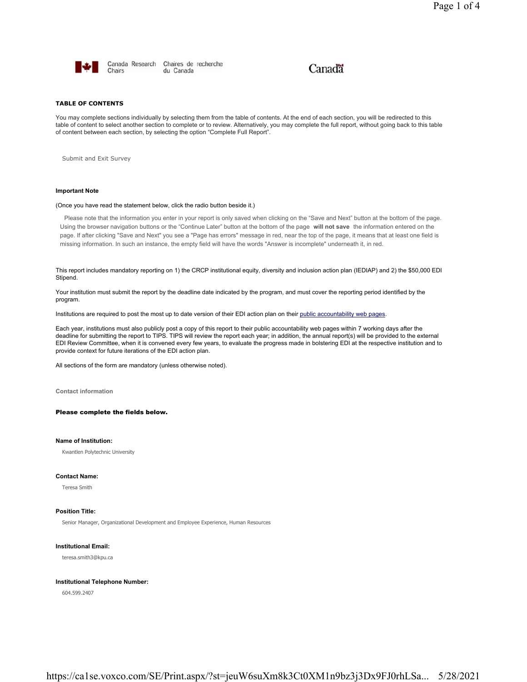

Canada Research Chaires de recherche Chairs du Canada

# Canadä

## **TABLE OF CONTENTS**

You may complete sections individually by selecting them from the table of contents. At the end of each section, you will be redirected to this table of content to select another section to complete or to review. Alternatively, you may complete the full report, without going back to this table of content between each section, by selecting the option "Complete Full Report".

Submit and Exit Survey

## **Important Note**

## (Once you have read the statement below, click the radio button beside it.)

Please note that the information you enter in your report is only saved when clicking on the "Save and Next" button at the bottom of the page. Using the browser navigation buttons or the "Continue Later" button at the bottom of the page **will not save** the information entered on the page. If after clicking "Save and Next" you see a "Page has errors" message in red, near the top of the page, it means that at least one field is missing information. In such an instance, the empty field will have the words "Answer is incomplete" underneath it, in red.

This report includes mandatory reporting on 1) the CRCP institutional equity, diversity and inclusion action plan (IEDIAP) and 2) the \$50,000 EDI Stipend.

Your institution must submit the report by the deadline date indicated by the program, and must cover the reporting period identified by the program.

Institutions are required to post the most up to date version of their EDI action plan on their public accountability web pages.

Each year, institutions must also publicly post a copy of this report to their public accountability web pages within 7 working days after the deadline for submitting the report to TIPS. TIPS will review the report each year; in addition, the annual report(s) will be provided to the external EDI Review Committee, when it is convened every few years, to evaluate the progress made in bolstering EDI at the respective institution and to provide context for future iterations of the EDI action plan.

All sections of the form are mandatory (unless otherwise noted).

**Contact information**

Please complete the fields below.

## **Name of Institution:**

Kwantlen Polytechnic University

#### **Contact Name:**

Teresa Smith

## **Position Title:**

Senior Manager, Organizational Development and Employee Experience, Human Resources

#### **Institutional Email:**

teresa.smith3@kpu.ca

## **Institutional Telephone Number:**

604.599.2407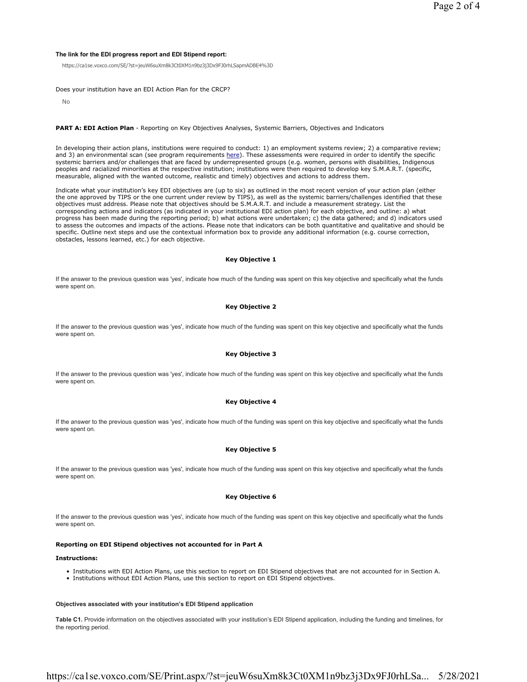## **The link for the EDI progress report and EDI Stipend report:**

https://ca1se.voxco.com/SE/?st=jeuW6suXm8k3Ct0XM1n9bz3j3Dx9FJ0rhLSapmADBE4%3D

Does your institution have an EDI Action Plan for the CRCP?

No

#### **PART A: EDI Action Plan** - Reporting on Key Objectives Analyses, Systemic Barriers, Objectives and Indicators

In developing their action plans, institutions were required to conduct: 1) an employment systems review; 2) a comparative review; and 3) an environmental scan (see program requirements here). These assessments were required in order to identify the specific systemic barriers and/or challenges that are faced by underrepresented groups (e.g. women, persons with disabilities, Indigenous peoples and racialized minorities at the respective institution; institutions were then required to develop key S.M.A.R.T. (specific, measurable, aligned with the wanted outcome, realistic and timely) objectives and actions to address them.

Indicate what your institution's key EDI objectives are (up to six) as outlined in the most recent version of your action plan (either the one approved by TIPS or the one current under review by TIPS), as well as the systemic barriers/challenges identified that these objectives must address. Please note that objectives should be S.M.A.R.T. and include a measurement strategy. List the corresponding actions and indicators (as indicated in your institutional EDI action plan) for each objective, and outline: a) what progress has been made during the reporting period; b) what actions were undertaken; c) the data gathered; and d) indicators used to assess the outcomes and impacts of the actions. Please note that indicators can be both quantitative and qualitative and should be specific. Outline next steps and use the contextual information box to provide any additional information (e.g. course correction, obstacles, lessons learned, etc.) for each objective.

## **Key Objective 1**

If the answer to the previous question was 'yes', indicate how much of the funding was spent on this key objective and specifically what the funds were spent on.

## **Key Objective 2**

If the answer to the previous question was 'yes', indicate how much of the funding was spent on this key objective and specifically what the funds were spent on.

## **Key Objective 3**

If the answer to the previous question was 'yes', indicate how much of the funding was spent on this key objective and specifically what the funds were spent on.

## **Key Objective 4**

If the answer to the previous question was 'yes', indicate how much of the funding was spent on this key objective and specifically what the funds were spent on.

## **Key Objective 5**

If the answer to the previous question was 'yes', indicate how much of the funding was spent on this key objective and specifically what the funds were spent on.

## **Key Objective 6**

If the answer to the previous question was 'yes', indicate how much of the funding was spent on this key objective and specifically what the funds were spent on.

## **Reporting on EDI Stipend objectives not accounted for in Part A**

#### **Instructions:**

- Institutions with EDI Action Plans, use this section to report on EDI Stipend objectives that are not accounted for in Section A.
- Institutions without EDI Action Plans, use this section to report on EDI Stipend objectives.

#### **Objectives associated with your institution's EDI Stipend application**

**Table C1.** Provide information on the objectives associated with your institution's EDI Stipend application, including the funding and timelines, for the reporting period.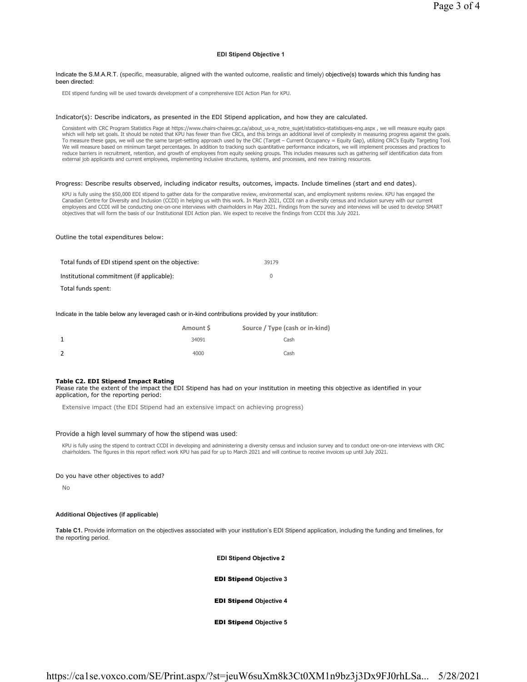## **EDI Stipend Objective 1**

#### Indicate the S.M.A.R.T. (specific, measurable, aligned with the wanted outcome, realistic and timely) objective(s) towards which this funding has been directed:

EDI stipend funding will be used towards development of a comprehensive EDI Action Plan for KPU.

#### Indicator(s): Describe indicators, as presented in the EDI Stipend application, and how they are calculated.

Consistent with CRC Program Statistics Page at https://www.chairs-chaires.gc.ca/about\_us-a\_notre\_sujet/statistics-statistiques-eng.aspx , we will measure equity gaps which will help set goals. It should be noted that KPU has fewer than five CRCs, and this brings an additional level of complexity in measuring progress against the goals. To measure these gaps, we will use the same target-setting approach used by the CRC (Target – Current Occupancy = Equity Gap), utilizing CRC's Equity Targeting Tool. We will measure based on minimum target percentages. In addition to tracking such quantitative performance indicators, we will implement processes and practices to reduce barriers in recruitment, retention, and growth of employees from equity seeking groups. This includes measures such as gathering self identification data from external job applicants and current employees, implementing inclusive structures, systems, and processes, and new training resources.

#### Progress: Describe results observed, including indicator results, outcomes, impacts. Include timelines (start and end dates).

KPU is fully using the \$50,000 EDI stipend to gather data for the comparative review, environmental scan, and employment systems review. KPU has engaged the<br>Canadian Centre for Diversity and Inclusion (CCDI) in helping us objectives that will form the basis of our Institutional EDI Action plan. We expect to receive the findings from CCDI this July 2021.

#### Outline the total expenditures below:

| Total funds of EDI stipend spent on the objective: | 39179    |
|----------------------------------------------------|----------|
| Institutional commitment (if applicable):          | $\Omega$ |
| Total funds spent:                                 |          |

#### Indicate in the table below any leveraged cash or in-kind contributions provided by your institution:

| Amount \$ | Source / Type (cash or in-kind) |
|-----------|---------------------------------|
| 34091     | Cash                            |
| 4000      | Cash                            |

#### **Table C2. EDI Stipend Impact Rating**

Please rate the extent of the impact the EDI Stipend has had on your institution in meeting this objective as identified in your application, for the reporting period:

Extensive impact (the EDI Stipend had an extensive impact on achieving progress)

## Provide a high level summary of how the stipend was used:

KPU is fully using the stipend to contract CCDI in developing and administering a diversity census and inclusion survey and to conduct one-on-one interviews with CRC chairholders. The figures in this report reflect work KPU has paid for up to March 2021 and will continue to receive invoices up until July 2021.

#### Do you have other objectives to add?

No

#### **Additional Objectives (if applicable)**

**Table C1.** Provide information on the objectives associated with your institution's EDI Stipend application, including the funding and timelines, for the reporting period.

**EDI Stipend Objective 2**

EDI Stipend **Objective 3**

## EDI Stipend **Objective 4**

EDI Stipend **Objective 5**